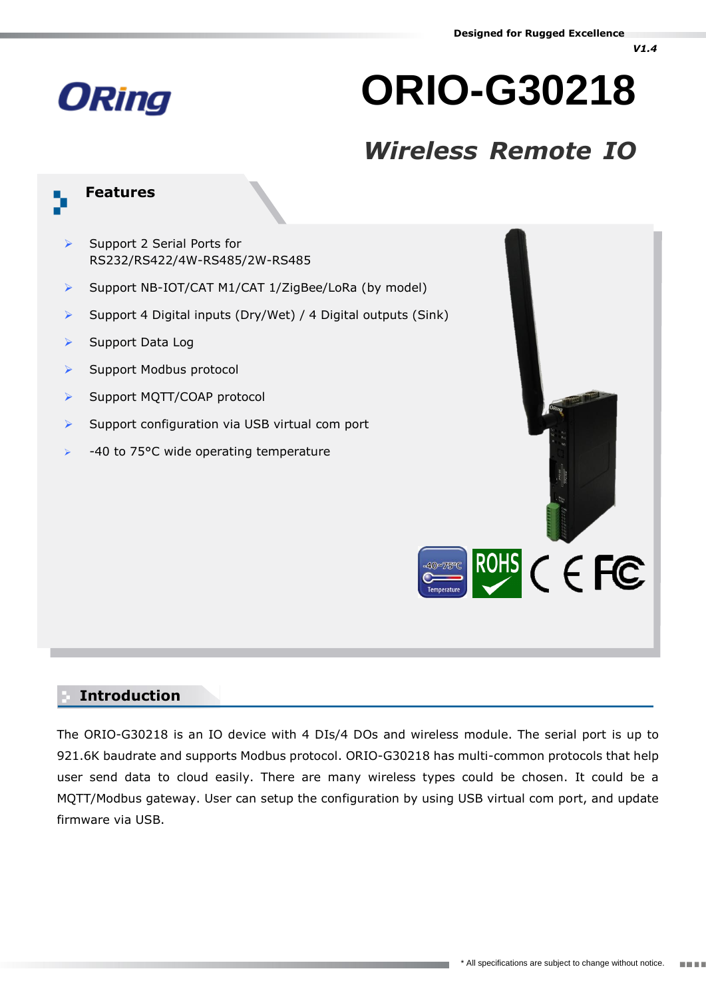## **ORing**

# **ORIO-G30218**

### *Wireless Remote IO*

#### **Features**

- $\triangleright$  Support 2 Serial Ports for RS232/RS422/4W-RS485/2W-RS485
- Support NB-IOT/CAT M1/CAT 1/ZigBee/LoRa (by model)
- Support 4 Digital inputs (Dry/Wet) / 4 Digital outputs (Sink)
- $\triangleright$  Support Data Log
- $\triangleright$  Support Modbus protocol
- > Support MQTT/COAP protocol
- $\triangleright$  Support configuration via USB virtual com port
- -40 to 75°C wide operating temperature



#### **Introduction**

The ORIO-G30218 is an IO device with 4 DIs/4 DOs and wireless module. The serial port is up to 921.6K baudrate and supports Modbus protocol. ORIO-G30218 has multi-common protocols that help user send data to cloud easily. There are many wireless types could be chosen. It could be a MQTT/Modbus gateway. User can setup the configuration by using USB virtual com port, and update firmware via USB.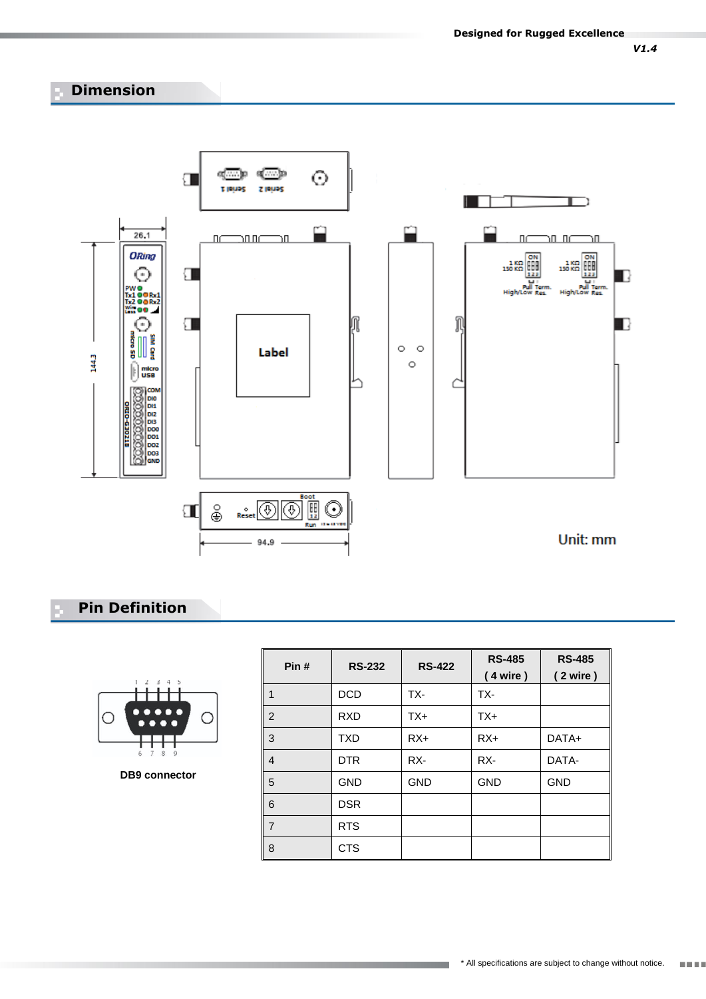#### **Dimension**



#### **Pin Definition**



**DB9 connector**

| Pin#           | <b>RS-232</b> | <b>RS-422</b> | <b>RS-485</b><br>(4 wire) | <b>RS-485</b><br>(2 wire) |
|----------------|---------------|---------------|---------------------------|---------------------------|
| 1              | <b>DCD</b>    | TX-           | TX-                       |                           |
| 2              | <b>RXD</b>    | TX+           | $TX+$                     |                           |
| 3              | <b>TXD</b>    | $RX+$         | $RX+$                     | DATA+                     |
| $\overline{4}$ | <b>DTR</b>    | RX-           | RX-                       | DATA-                     |
| 5              | <b>GND</b>    | <b>GND</b>    | <b>GND</b>                | <b>GND</b>                |
| 6              | <b>DSR</b>    |               |                           |                           |
| $\overline{7}$ | <b>RTS</b>    |               |                           |                           |
| 8              | <b>CTS</b>    |               |                           |                           |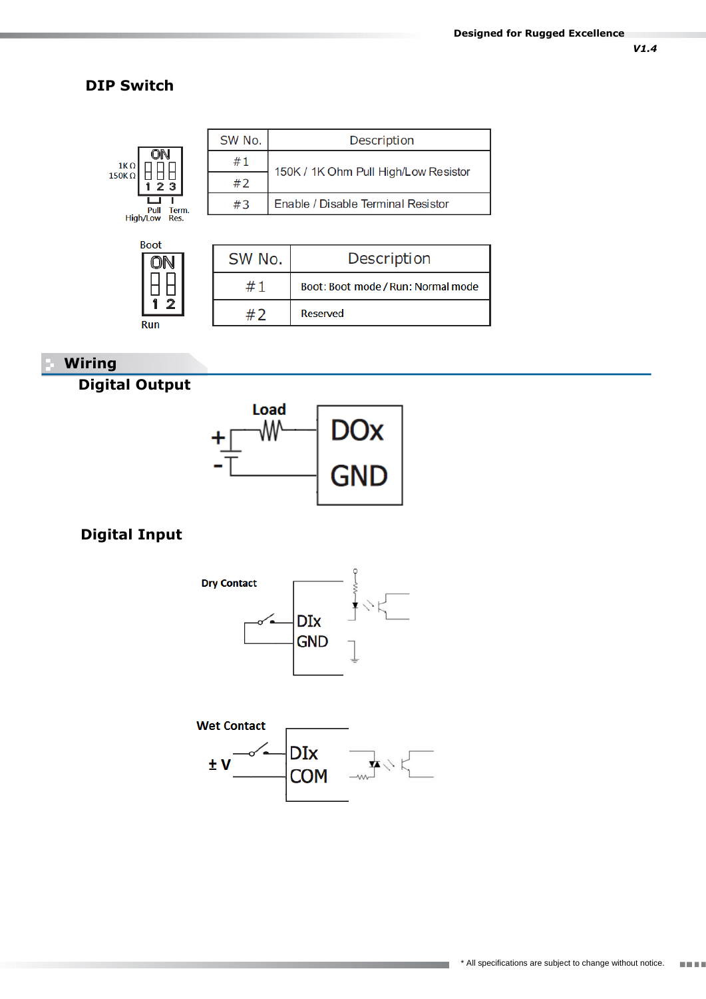*V1.4*

#### **DIP Switch**



| SW No. | Description                        |
|--------|------------------------------------|
|        | Boot: Boot mode / Run: Normal mode |
|        | Reserved                           |

#### **Wiring**

#### **Digital Output**

2

Run



#### **Digital Input**





<u> Harristo e</u>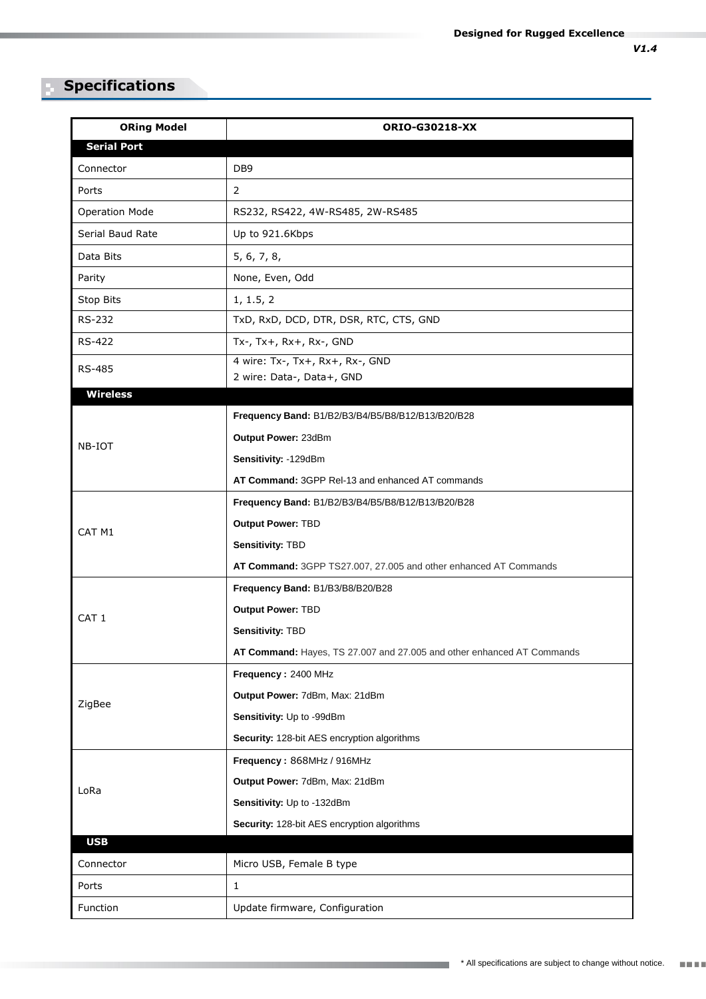#### **Specifications**

| <b>ORing Model</b>    | <b>ORIO-G30218-XX</b>                                                  |  |  |
|-----------------------|------------------------------------------------------------------------|--|--|
| <b>Serial Port</b>    |                                                                        |  |  |
| Connector             | DB <sub>9</sub>                                                        |  |  |
| Ports                 | $\overline{2}$                                                         |  |  |
| <b>Operation Mode</b> | RS232, RS422, 4W-RS485, 2W-RS485                                       |  |  |
| Serial Baud Rate      | Up to 921.6Kbps                                                        |  |  |
| Data Bits             | 5, 6, 7, 8,                                                            |  |  |
| Parity                | None, Even, Odd                                                        |  |  |
| Stop Bits             | 1, 1.5, 2                                                              |  |  |
| RS-232                | TxD, RxD, DCD, DTR, DSR, RTC, CTS, GND                                 |  |  |
| RS-422                | Tx-, Tx+, Rx+, Rx-, GND                                                |  |  |
| <b>RS-485</b>         | 4 wire: Tx-, Tx+, Rx+, Rx-, GND                                        |  |  |
| <b>Wireless</b>       | 2 wire: Data-, Data+, GND                                              |  |  |
|                       | Frequency Band: B1/B2/B3/B4/B5/B8/B12/B13/B20/B28                      |  |  |
|                       | Output Power: 23dBm                                                    |  |  |
| NB-IOT                | Sensitivity: -129dBm                                                   |  |  |
|                       | AT Command: 3GPP Rel-13 and enhanced AT commands                       |  |  |
|                       | Frequency Band: B1/B2/B3/B4/B5/B8/B12/B13/B20/B28                      |  |  |
|                       | <b>Output Power: TBD</b>                                               |  |  |
| CAT <sub>M1</sub>     | Sensitivity: TBD                                                       |  |  |
|                       | AT Command: 3GPP TS27.007, 27.005 and other enhanced AT Commands       |  |  |
|                       | Frequency Band: B1/B3/B8/B20/B28                                       |  |  |
|                       | Output Power: TBD                                                      |  |  |
| CAT <sub>1</sub>      | Sensitivity: TBD                                                       |  |  |
|                       | AT Command: Hayes, TS 27.007 and 27.005 and other enhanced AT Commands |  |  |
|                       | Frequency: 2400 MHz                                                    |  |  |
|                       | Output Power: 7dBm, Max: 21dBm                                         |  |  |
| ZigBee                | Sensitivity: Up to -99dBm                                              |  |  |
|                       | Security: 128-bit AES encryption algorithms                            |  |  |
|                       | Frequency: 868MHz / 916MHz                                             |  |  |
|                       | Output Power: 7dBm, Max: 21dBm                                         |  |  |
| LoRa                  | Sensitivity: Up to -132dBm                                             |  |  |
|                       | Security: 128-bit AES encryption algorithms                            |  |  |
| <b>USB</b>            |                                                                        |  |  |
| Connector             | Micro USB, Female B type                                               |  |  |
| Ports                 | $\mathbf{1}$                                                           |  |  |
| Function              | Update firmware, Configuration                                         |  |  |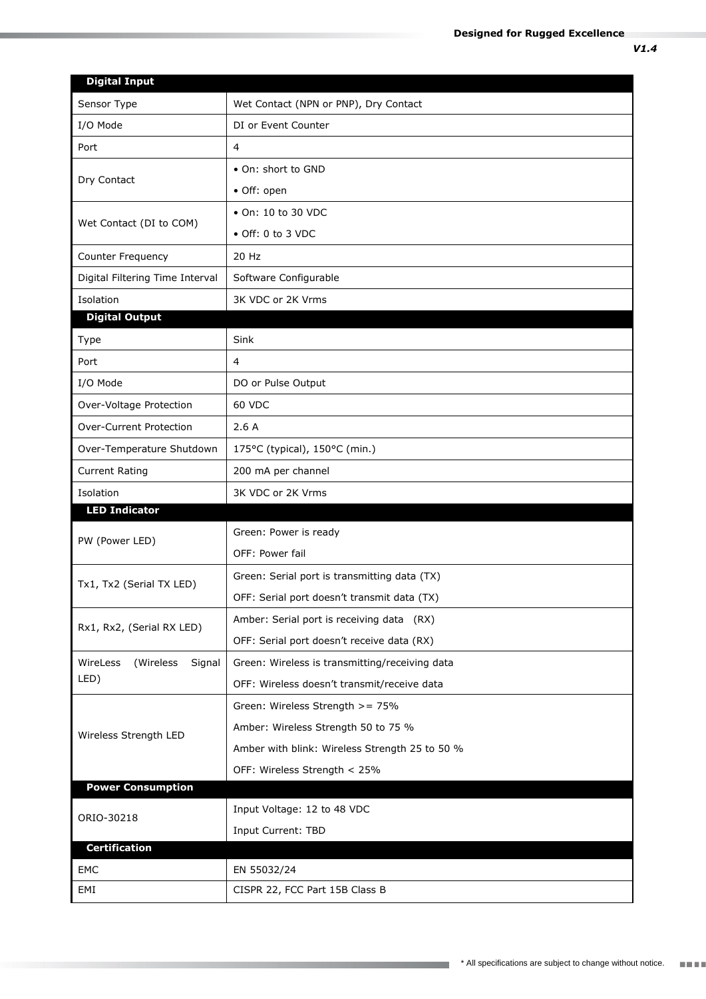| <b>Digital Input</b>             |                                                |  |
|----------------------------------|------------------------------------------------|--|
| Sensor Type                      | Wet Contact (NPN or PNP), Dry Contact          |  |
| I/O Mode                         | DI or Event Counter                            |  |
| Port                             | 4                                              |  |
|                                  | • On: short to GND                             |  |
| Dry Contact                      | · Off: open                                    |  |
|                                  | • On: 10 to 30 VDC                             |  |
| Wet Contact (DI to COM)          | • Off: 0 to 3 VDC                              |  |
| Counter Frequency                | 20 Hz                                          |  |
| Digital Filtering Time Interval  | Software Configurable                          |  |
| Isolation                        | 3K VDC or 2K Vrms                              |  |
| <b>Digital Output</b>            |                                                |  |
| Type                             | Sink                                           |  |
| Port                             | $\overline{4}$                                 |  |
| I/O Mode                         | DO or Pulse Output                             |  |
| Over-Voltage Protection          | <b>60 VDC</b>                                  |  |
| <b>Over-Current Protection</b>   | 2.6A                                           |  |
| Over-Temperature Shutdown        | 175°C (typical), 150°C (min.)                  |  |
| <b>Current Rating</b>            | 200 mA per channel                             |  |
| Isolation                        | 3K VDC or 2K Vrms                              |  |
| <b>LED Indicator</b>             |                                                |  |
| PW (Power LED)                   | Green: Power is ready                          |  |
|                                  | OFF: Power fail                                |  |
| Tx1, Tx2 (Serial TX LED)         | Green: Serial port is transmitting data (TX)   |  |
|                                  | OFF: Serial port doesn't transmit data (TX)    |  |
| Rx1, Rx2, (Serial RX LED)        | Amber: Serial port is receiving data (RX)      |  |
|                                  | OFF: Serial port doesn't receive data (RX)     |  |
| WireLess<br>Signal<br>(Wireless) | Green: Wireless is transmitting/receiving data |  |
| LED)                             | OFF: Wireless doesn't transmit/receive data    |  |
|                                  | Green: Wireless Strength >= 75%                |  |
| Wireless Strength LED            | Amber: Wireless Strength 50 to 75 %            |  |
|                                  | Amber with blink: Wireless Strength 25 to 50 % |  |
|                                  | OFF: Wireless Strength < 25%                   |  |
| <b>Power Consumption</b>         |                                                |  |
| ORIO-30218                       | Input Voltage: 12 to 48 VDC                    |  |
|                                  | Input Current: TBD                             |  |
| <b>Certification</b>             |                                                |  |
| EMC                              | EN 55032/24                                    |  |
| EMI                              | CISPR 22, FCC Part 15B Class B                 |  |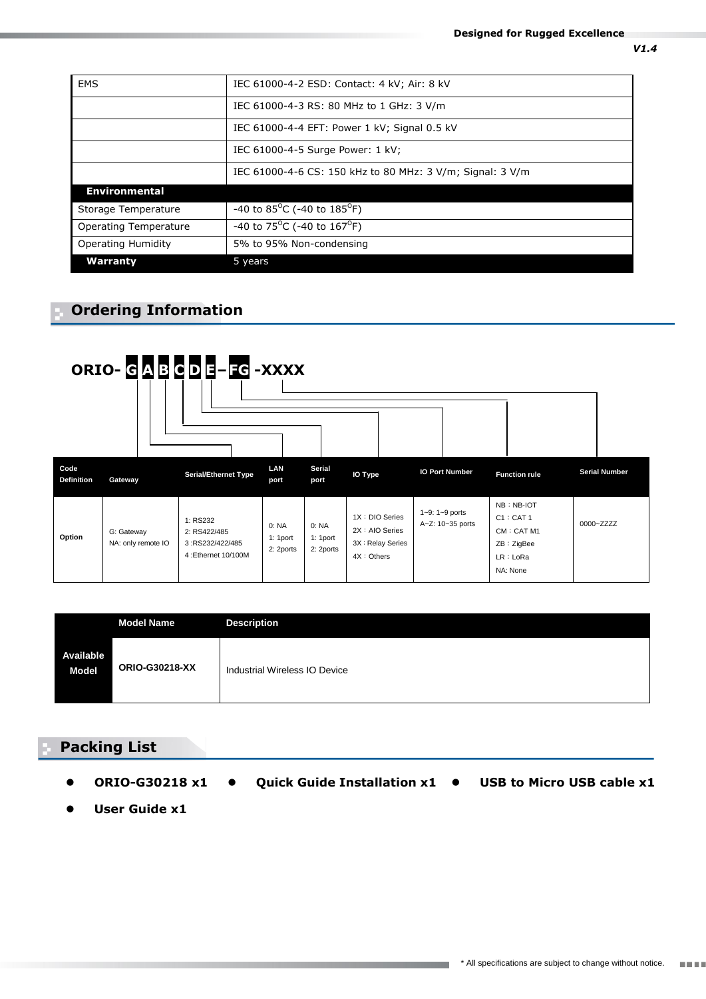| EMS                   | IEC 61000-4-2 ESD: Contact: 4 kV; Air: 8 kV               |  |
|-----------------------|-----------------------------------------------------------|--|
|                       | IEC 61000-4-3 RS: 80 MHz to 1 GHz: 3 V/m                  |  |
|                       | IEC 61000-4-4 EFT: Power 1 kV; Signal 0.5 kV              |  |
|                       | IEC 61000-4-5 Surge Power: 1 kV;                          |  |
|                       | IEC 61000-4-6 CS: 150 kHz to 80 MHz: 3 V/m; Signal: 3 V/m |  |
| <b>Environmental</b>  |                                                           |  |
| Storage Temperature   | -40 to 85 <sup>o</sup> C (-40 to 185 <sup>o</sup> F)      |  |
| Operating Temperature | $-40$ to 75 <sup>o</sup> C (-40 to 167 <sup>o</sup> F)    |  |
| Operating Humidity    | 5% to 95% Non-condensing                                  |  |
| <b>Warranty</b>       | 5 years                                                   |  |

#### **Ordering Information**



|                           | <b>Model Name</b>     | <b>Description</b>            |
|---------------------------|-----------------------|-------------------------------|
| Available<br><b>Model</b> | <b>ORIO-G30218-XX</b> | Industrial Wireless IO Device |

a kacamatan ing Kabupatèn Kabupatèn Kabupatèn Kabupatèn Kabupatèn Kabupatèn Kabupatèn Kabupatèn Kabupatèn Kabu

#### **Packing List**

- **ORIO-G30218 x1 Quick Guide Installation x1 USB to Micro USB cable x1** 
	-

**User Guide x1**